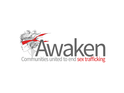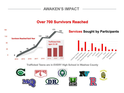## **AWAKEN'S IMPACT**

# **Over 700 Survivors Reached**



Trafficked Teens are in EVERY High School in Washoe County